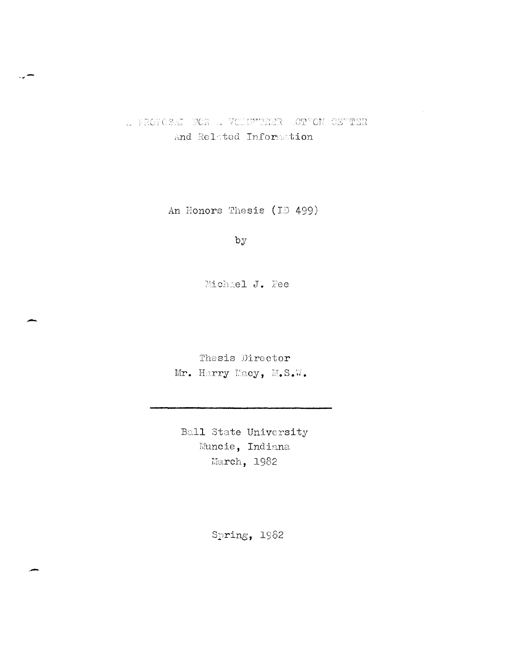# A PROFOSAI FOR A VOLUMERER ACTION CETTER And Related Information

An Honors Thesis (ID 499)

 $by$ 

Michael J. Pee

Thesis Director Mr. Harry Macy, M.S.W.

Ball State University Muncie, Indiana March, 1982

Spring, 1982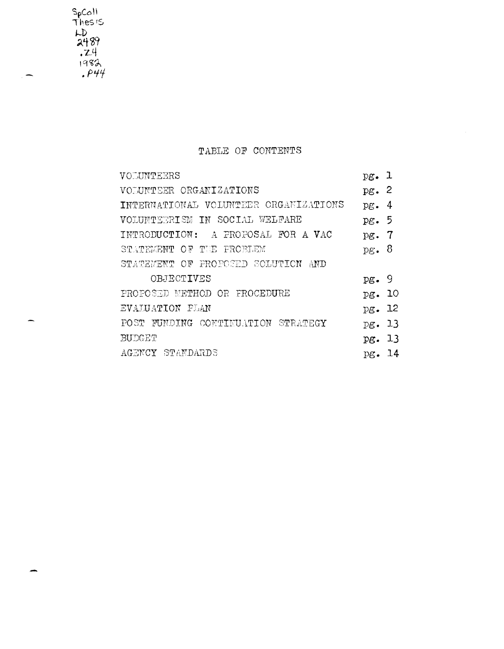SpColl<br>Thes is<br>LD<br>2489<br>.24<br>.1982<br>.P44

# TABLE OF CONTENTS

| VOLUNTEERS                             | pg. 1           |     |
|----------------------------------------|-----------------|-----|
| VOLUNTEER ORGANIZATIONS                | pg.2            |     |
| INTERNATIONAL VOLUNTEER ORGANIZATIONS  | pg.             | 4   |
| VOLUNTEERISM IN SOCIAL WELFARE         | $p\mathbf{g.}5$ |     |
| INTRODUCTION: A PROPOSAL FOR A VAC     | $p$ g.          | -7  |
| STATEMENT OF TIE PROBLEM               | pg.             | - 8 |
| STATEMENT OF PROPOSED SOLUTION<br>-AND |                 |     |
| OBJECTIVES                             | pg.9            |     |
| PROPOSED METHOD OR FROCEDURE           | pg. 10          |     |
| EVALUATION PLAN                        | pg. 12          |     |
| POST FUNDING CONTINUATION STRATEGY     | pg. 13          |     |
| BUDGET                                 | pg. 13          |     |
| AGENCY STANDARDS                       | pg.             | 14  |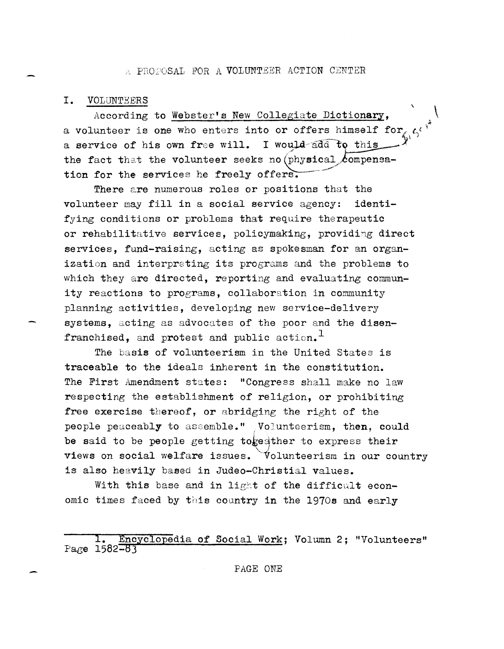### A PROPOSAL FOR A VOLUNTEER ACTION CENTER

#### I. VOLUNTEERS

According to Webster's New Collegiate Dictionary. a volunteer is one who enters into or offers himself for, a service of his own free will. I would add to this the fact that the volunteer seeks no (physical compensation for the services he freely offers.

There are numerous roles or positions that the volunteer may fill in a social service agency: identifying conditions or problems that require therapeutic or rehabilitative services, policymaking, providing direct services, fund-raising, acting as spokesman for an organization and interpreting its programs and the problems to which they are directed, reporting and evaluating community reactions to programs, collaboration in community planning activities, developing new service-delivery systems. acting as advocates of the poor and the disenfranchised, and protest and public action.<sup>1</sup>

The basis of volunteerism in the United States is traceable to the ideals inherent in the constitution. The First Amendment states: "Congress shall make no law respecting the establishment of religion, or prohibiting free exercise thereof, or abridging the right of the people peaceably to assemble." Volunteerism, then, could be said to be people getting togedther to express their views on social welfare issues. Volunteerism in our country is also heavily based in Judeo-Christial values.

With this base and in light of the difficult economic times faced by this country in the 1970s and early

Encyclopedia of Social Work; Volumn 2; "Volunteers" Page 1582-83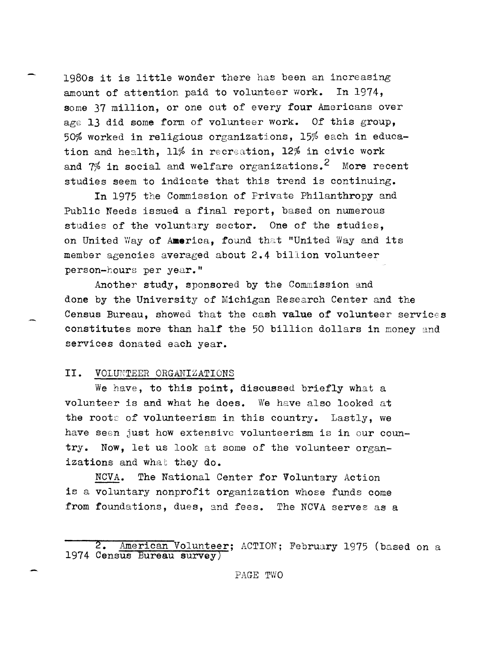1980s it is little wonder there has been an increasing amount of attention paid to volunteer work. In 1974, some 37 mi11ion, or one out of every four Americans over age 13 did some form of volunteer work. Of this group, 50% worked in religious organizations,  $15%$  each in education and health,  $11\%$  in recreation,  $12\%$  in civic work and  $7\%$  in social and welfare organizations.<sup>2</sup> More recent studies seem to indicate that this trend is continuing.

In 1975 the Commission of Private Philanthropy and Public Needs issued a final report, based on numerous studies of the voluntary sector. One of the studies, on United Way of America, found that "United Way and its member agencies averaged about 2.4 billion volunteer person-hours per year."

Another study, sponsored by the Commission and done by the University of Michigan Research Center and the Census Bureau, showed that the cash value of volunteer services constitutes more than half the 50 billion dollars in money and services donated each year.

# II. VOLUNTEER ORGANIZATIONS

We have, to this point, discussed briefly what a volunteer is and what he does. We have also looked at the roots of volunteerism in this country. Lastly, we have seen just how extensive volunteerism is in our country. Now, let us look at some of the volunteer organizations and what they do.

*NCVA.* The National Center for Voluntary Action is a voluntary nonprofit organization whose funds come from foundations, dues, and fees. The *NCVA* serves as a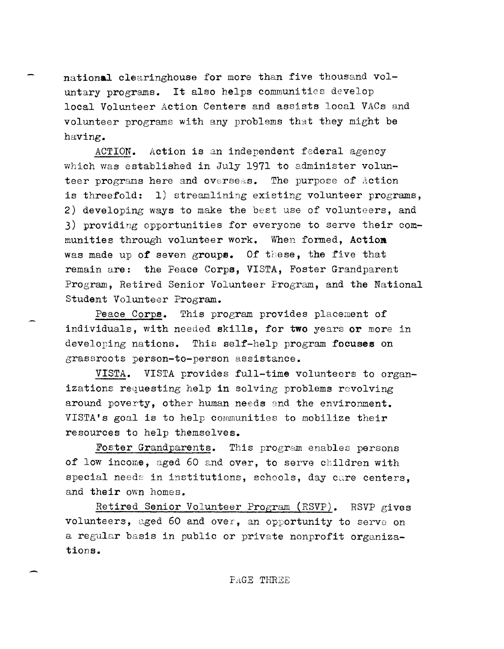national clearinghouse for more than five thousand voluntary programs. It also helps communities develop local Volunteer Action Centers and assists local VACs and volunteer programs with any problems that they might be having.

Action is an independent federal agency ACTION. which was established in July 1971 to administer volunteer programs here and overseas. The purpose of Action is threefold: 1) streamlining existing volunteer programs, 2) developing ways to make the best use of volunteers, and 3) providing opportunities for everyone to serve their communities through volunteer work. When formed, Action was made up of seven groups. Of these, the five that remain are: the Peace Corps, VISTA, Foster Grandparent Program, Retired Senior Volunteer Program, and the National Student Volunteer Program.

This program provides placement of Peace Corps. individuals, with needed skills, for two years or more in developing nations. This self-help program focuses on grassroots person-to-person assistance.

VISTA. VISTA provides full-time volunteers to organizations requesting help in solving problems revolving around poverty, other human needs and the environment. VISTA's goal is to help communities to mobilize their resources to help themselves.

Foster Grandparents. This program enables persons of low income, aged 60 and over, to serve children with special needs in institutions, schools, day care centers, and their own homes.

Retired Senior Volunteer Program (RSVP). RSVP gives volunteers, aged 60 and over, an opportunity to serve on a regular basis in public or private nonprofit organizations.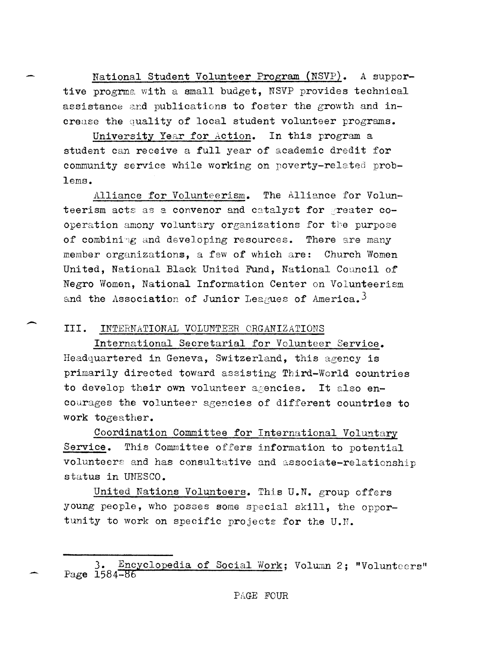National Student Volunteer Program (NSVP). A supportive progrma with a small budget, NSVP provides technical assistance and publications to foster the growth and increase the quality of local student volunteer programs.

University Year for Action. In this program a student can receive a full year of academic dredit for community service while working on poverty-related problems.

The Alliance for Volun-Alliance for Volunteerism. teerism acts as a convenor and catalyst for greater cooperation amony voluntary organizations for the purpose of combining and developing resources. There are many member organizations, a few of which are: Church Women United, National Black United Fund, National Council of Negro Women, National Information Center on Volunteerism and the Association of Junior Leagues of America.<sup>3</sup>

### III. INTERNATIONAL VOLUNTEER CRGANIZATIONS

International Secretarial for Volunteer Service. Headquartered in Geneva, Switzerland, this agency is primarily directed toward assisting Third-World countries to develop their own volunteer agencies. It also encourages the volunteer agencies of different countries to work togeather.

Coordination Committee for International Voluntary Service. This Committee offers information to potential volunteers and has consultative and associate-relationship status in UNESCO.

United Nations Volunteers. This U.N. group offers young people, who posses some special skill, the opportunity to work on specific projects for the U.N.

Encyclopedia of Social Work; Volumn 2; "Volunteers" Page 1584-86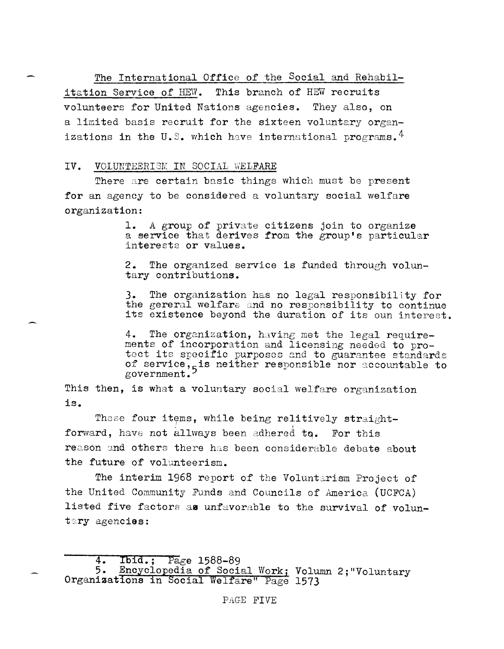The International Office of the Social and Rehabil-

This branch of HEW recruits itation Service of HEW. volunteers for United Nations agencies. They also, on a limited basis recruit for the sixteen voluntary organizations in the U.S. which have international programs.  $4$ 

### IV. VOLUNTEERISM IN SOCIAL WELFARE

There are certain basic things which must be present for an agency to be considered a voluntary social welfare organization:

> 1. A group of private citizens join to organize a service that derives from the group's particular interests or values.

> 2. The organized service is funded through voluntary contributions.

3. The organization has no legal responsibility for the gereral welfare and no responsibility to continue its existence beyond the duration of its oun interest.

4. The organization, having met the legal requirements of incorporation and licensing needed to protect its specific purposes and to guarantee standards of service, is neither responsible nor accountable to government.

This then, is what a voluntary social welfare organization is.

These four items, while being relitively straightforward, have not allways been adhered to. For this reason and others there has been considerable debate about the future of volunteerism.

The interim 1968 report of the Voluntarism Project of the United Community Funds and Councils of America (UCFCA) listed five factors as unfavorable to the survival of voluntary agencies:

 $4.$  $Pa$ ge 1588-89  $I$ bid.;

<sup>5.</sup> Encyclopedia of Social Work; Volumn 2; "Voluntary Organizations in Social Welfare" Page 1573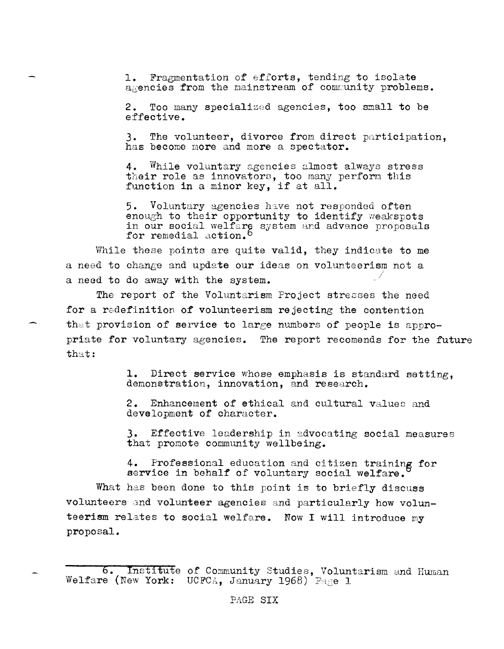1. Fragmentation of efforts, tending to isolate agencies from the mainstream of community problems.

2. Too many specialized agencies, too small to be effective.

3. The volunteer, divorce from direct participation, has become more and more a spectator.

4. While voluntary agencies almost always stress their role as innovators, too many perform this function in a minor key, if at all.

5. Voluntary agencies have not responded often enough to their opportunity to identify weakspots<br>in our social welfare system and advance proposals<br>for remedial action.<sup>6</sup>

While these points are quite valid, they indicate to me a need to change and update our ideas on volunteerism not a a need to do away with the system.

The report of the Voluntarism Project stresses the need for a redefinition of volunteerism rejecting the contention that provision of service to large numbers of people is appropriate for voluntary agencies. The report recomends for the future that:

> 1. Direct service whose emphasis is standard setting, demonstration, innovation, and research.

Enhancement of ethical and cultural values and 2. development of character.

3. Effective leadership in advocating social measures that promote community wellbeing.

4. Professional education and citizen training for service in behalf of voluntary social welfare.

What has been done to this point is to briefly discuss volunteers and volunteer agencies and particularly how volunteerism relates to social welfare. Now I will introduce my proposal.

<sup>6.</sup> Institute of Community Studies, Voluntarism and Human Welfare (New York: UCFCA, January 1968) Page 1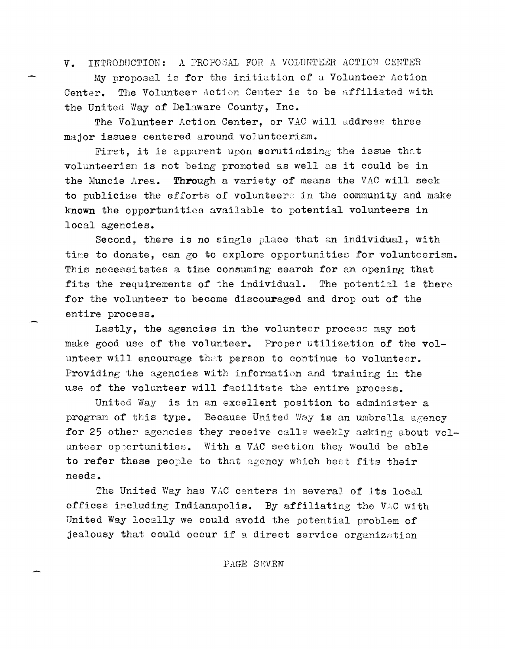INTRODUCTION: A PROPOSAL FOR A VOLUNTEER ACTION CENTER  $V_{\bullet}$ 

My proposal is for the initiation of a Volunteer Action Center. The Volunteer Action Center is to be affiliated with the United Way of Delaware County, Inc.

The Volunteer Action Center, or VAC will address three major issues centered around volunteerism.

First, it is apparent upon scrutinizing the issue that volunteerism is not being promoted as well as it could be in the Muncie Area. Through a variety of means the VAC will seek to publicize the efforts of volunteers in the community and make known the opportunities available to potential volunteers in local agencies.

Second, there is no single place that an individual, with time to donate, can go to explore opportunities for volunteerism. This necessitates a time consuming search for an opening that fits the requirements of the individual. The potential is there for the volunteer to become discouraged and drop out of the entire process.

Lastly, the agencies in the volunteer process may not make good use of the volunteer. Proper utilization of the volunteer will encourage that person to continue to volunteer. Providing the agencies with information and training in the use of the volunteer will facilitate the entire process.

United Way is in an excellent position to administer a program of this type. Because United Way is an umbrella agency for 25 other agencies they receive calls weekly asking about volunteer opportunities. With a VAC section they would be able to refer these people to that agency which best fits their needs.

The United Way has VAC centers in several of its local offices including Indianapolis. By affiliating the VAC with United Way locally we could avoid the potential problem of jealousy that could occur if a direct service organization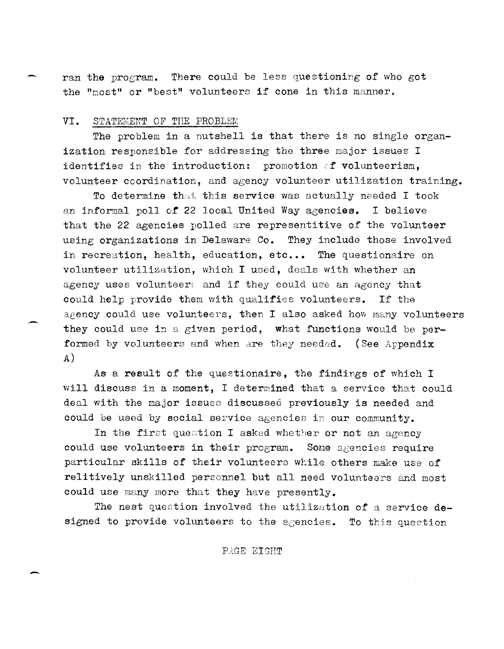ran the program. There could be less questioning of who got the "most" or "best" volunteers if cone in this manner.

### VI. STATEMENT OF THE PROBLEM

The problem in a nutshell is that there is no single organization responsible for addressing the three major issues I identifies in the introduction: promotion of volunteerism, volunteer coordination, and agency volunteer utilization training.

To determine that this service was actually needed I took an informal poll of 22 local United Way agencies. I believe that the 22 agencies polled are representitive of the volunteer using organizations in Delaware Co. They include those involved in recreation, health, education, etc... The questionaire on volunteer utilization, which I used, deals with whether an agency uses volunteers and if they could use an agency that could help provide them with qualifies volunteers. If the agency could use volunteers, then I also asked how many volunteers they could use in a given period, what functions would be performed by volunteers and when are they needed. (See Appendix  $A)$ 

As a result of the questionaire, the findings of which I will discuss in a moment, I determined that a service that could deal with the major issues discussed previously is needed and could be used by social service agencies in our community.

In the first question I asked whether or not an agency could use volunteers in their program. Some agencies require particular skills of their volunteers while others make use of relitively unskilled personnel but all need volunteers and most could use many more that they have presently.

The nest question involved the utilization of a service designed to provide volunteers to the agencies. To this question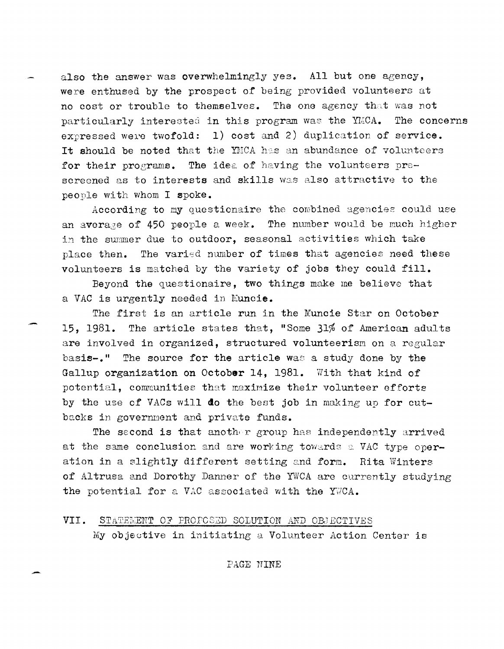also the answer was overwhelmingly yes. All but one agency. were enthused by the prospect of being provided volunteers at no cost or trouble to themselves. The one agency that was not particularly interested in this program was the YMCA. The concerns expressed were twofold: 1) cost and 2) duplication of service. It should be noted that the YMCA has an abundance of volunteers The idea of having the volunteers prefor their programs. screened as to interests and skills was also attractive to the people with whom I spoke.

According to my questionaire the combined agencies could use The number would be much higher an average of 450 people a week. in the summer due to outdoor, seasonal activities which take place then. The varied number of times that agencies need these volunteers is matched by the variety of jobs they could fill.

Beyond the questionaire, two things make me believe that a VAC is urgently needed in Muncie.

The first is an article run in the Muncie Star on October 15, 1981. The article states that, "Some 31% of American adults are involved in organized, structured volunteerism on a regular basis-." The source for the article was a study done by the Gallup organization on October 14, 1981. With that kind of potential, communities that maximize their volunteer efforts by the use of VACs will do the best job in making up for cutbacks in government and private funds.

The second is that another group has independently arrived at the same conclusion and are working towards a VAC type operation in a slightly different setting and form. Rita Winters of Altrusa and Dorothy Danner of the YWCA are currently studying the potential for a VAC associated with the YWCA.

# VII. STATEMENT OF PROFOSED SOLUTION AND OBJECTIVES My objective in initiating a Volunteer Action Center is

PAGE NINE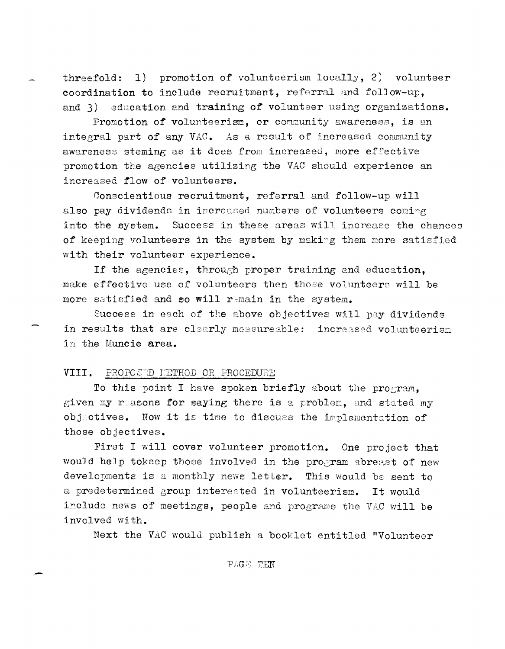threefold: 1) promotion of volunteerism locally, 2) volunteer coordination to include recruitment, referral and follow-up, and 3) education and training of volunteer using organizations.

Promotion of volunteerism, or community awareness, is an integral part of any VAC. As a result of increased community awareness steming as it does from increased, more effective promotion the agencies utilizing the VAC should experience an increased flow of volunteers.

Conscientious recruitment, referral and follow-up will also pay dividends in increased numbers of volunteers coming into the system. Success in these areas will increase the chances of keeping volunteers in the system by making them more satisfied with their volunteer experience.

If the agencies, through proper training and education, make effective use of volunteers then those volunteers will be more satisfied and so will remain in the system.

Success in each of the above objectives will pay dividends in results that are clearly measureable: increased volunteerism in the Muncie area.

### VIII. PROPOSED METHOD OR PROCEDURE

To this point I have spoken briefly about the program, given my reasons for saying there is a problem, and stated my objectives. Now it is time to discuss the implementation of those objectives.

First I will cover volunteer promotion. One project that would help tokeep those involved in the program abreast of new developments is a monthly news letter. This would be sent to a predetermined group interested in volunteerism. It would include news of meetings, people and programs the VAC will be involved with.

Next the VAC would publish a booklet entitled "Volunteer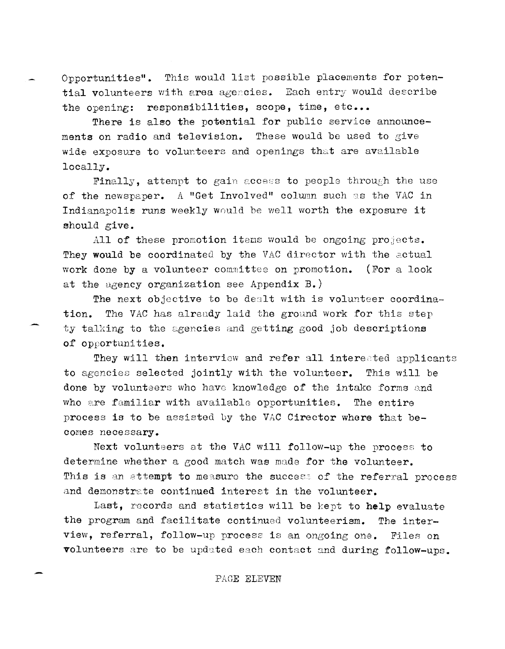Opportunities". This would list possible placements for potential volunteers with area agencies. Each entry would describe the opening: responsibilities, scope, time, etc...

There is also the potential for public service announcements on radio and television. These would be used to give wide exposure to volunteers and openings that are available locally.

Finally, attempt to gain access to people through the use of the newspaper. A "Get Involved" column such as the VAC in Indianapolis runs weekly would be well worth the exposure it should give.

All of these promotion items would be ongoing projects. They would be coordinated by the VAC director with the actual work done by a volunteer committee on promotion. (For a look at the agency organization see Appendix B.)

The next objective to be dealt with is volunteer coordination. The VAC has alreudy laid the ground work for this step ty talking to the agencies and getting good job descriptions of opportunities.

They will then interview and refer all interested applicants to agencies selected jointly with the volunteer. This will be done by volunteers who have knowledge of the intake forms and who are familiar with available opportunities. The entire process is to be assisted by the VAC Cirector where that becomes necessary.

Next volunteers at the VAC will follow-up the process to determine whether a good match was made for the volunteer. This is an attempt to measure the success of the referral process and demonstrate continued interest in the volunteer.

Last, records and statistics will be kept to help evaluate the program and facilitate continued volunteerism. The interview, referral, follow-up process is an ongoing one. Files on volunteers are to be updated each contact and during follow-ups.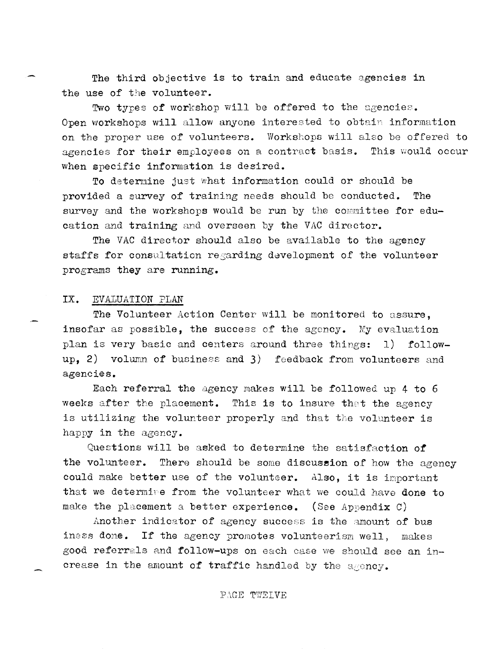The third objective is to train and educate agencies in the use of the volunteer.

Two types of workshop will be offered to the agencies. Open workshops will allow anyone interested to obtain information on the proper use of volunteers. Workshops will also be offered to agencies for their employees on a contract basis. This would occur when specific information is desired.

To determine just what information could or should be provided a survey of training needs should be conducted. The survey and the workshops would be run by the committee for education and training and overseen by the VAC director.

The VAC director should also be available to the agency staffs for consultation regarding development of the volunteer programs they are running.

### IX. EVALUATION PLAN

The Volunteer Action Center will be monitored to assure, insofar as possible, the success of the agency. My evaluation plan is very basic and centers around three things: 1) followup. 2) volumn of business and 3) feedback from volunteers and agencies.

Each referral the agency makes will be followed up 4 to 6 weeks after the placement. This is to insure that the agency is utilizing the volunteer properly and that the volunteer is happy in the agency.

Questions will be asked to determine the satisfaction of the volunteer. There should be some discussion of how the agency could make better use of the volunteer. Also, it is important that we determine from the volunteer what we could have done to make the placement a better experience. (See Appendix C)

Another indicator of agency success is the amount of bus iness done. If the agency promotes volunteerism well, makes good referrals and follow-ups on each case we should see an increase in the amount of traffic handled by the agency.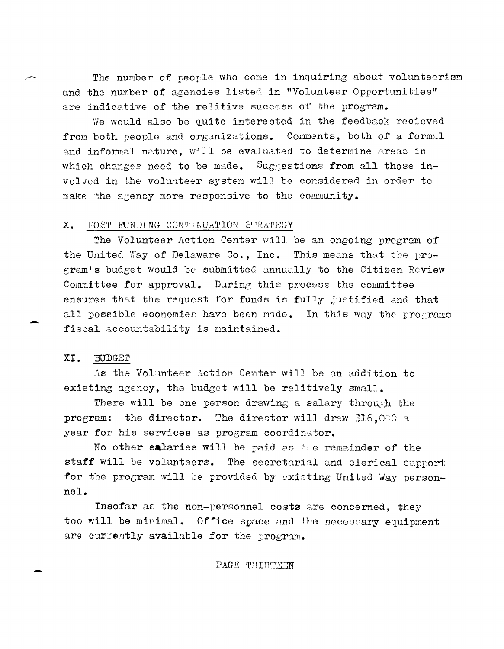The number of people who come in inquiring about volunteerism and the number of agencies listed in "Volunteer Opportunities" are indicative of the relitive success of the program.

We would also be quite interested in the feedback recieved from both people and organizations. Comments, both of a formal and informal nature, will be evaluated to determine areas in which changes need to be made. Suggestions from all those involved in the volunteer system will be considered in order to make the agency more responsive to the community.

#### Χ. POST FUNDING CONTINUATION STRATEGY

The Volunteer Action Center will be an ongoing program of the United Way of Delaware Co., Inc. This means that the program's budget would be submitted annually to the Citizen Review Committee for approval. During this process the committee ensures that the request for funds is fully justified and that all possible economies have been made. In this way the programs fiscal accountability is maintained.

### XI. **BUDGET**

As the Volunteer Action Center will be an addition to existing agency, the budget will be relitively small.

There will be one person drawing a salary through the program: the director. The director will draw \$16.000 a year for his services as program coordinator.

No other salaries will be paid as the remainder of the staff will be volunteers. The secretarial and clerical support for the program will be provided by existing United Way personnel.

Insofar as the non-personnel costs are concerned, they too will be minimal. Office space and the necessary equipment are currently available for the program.

### PAGE THIRTEEN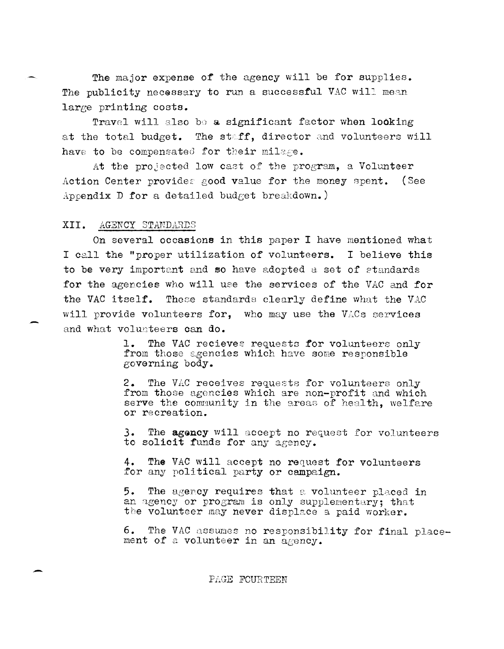The major expense of the agency will be for supplies. The publicity necessary to run a successful VAC will mean large printing costs.

Travel will also be a significant factor when looking at the total budget. The staff, director and volunteers will have to be compensated for their milage.

At the projected low cast of the program, a Volunteer Action Center provides good value for the money spent. (See Appendix D for a detailed budget breakdown.)

#### XII. AGENCY STANDARDS

On several occasions in this paper I have mentioned what I call the "proper utilization of volunteers. I believe this to be very important and so have adopted a set of standards for the agencies who will use the services of the VAC and for the VAC itself. These standards clearly define what the VAC will provide volunteers for, who may use the VACs services and what volunteers can do.

> The VAC recieves requests for volunteers only  $\mathbf{1}$ . from those agencies which have some responsible governing body.

The VAC receives requests for volunteers only  $2.$ from those agencies which are non-profit and which serve the community in the areas of health, welfare or recreation.

 $3.$ The agency will accept no request for volunteers to solicit funds for any agency.

The VAC will accept no request for volunteers 4. for any political party or campaign.

5. The agency requires that a volunteer placed in an agency or program is only supplementary; that the volunteer may never displace a paid worker.

6. The VAC assumes no responsibility for final placement of a volunteer in an agency.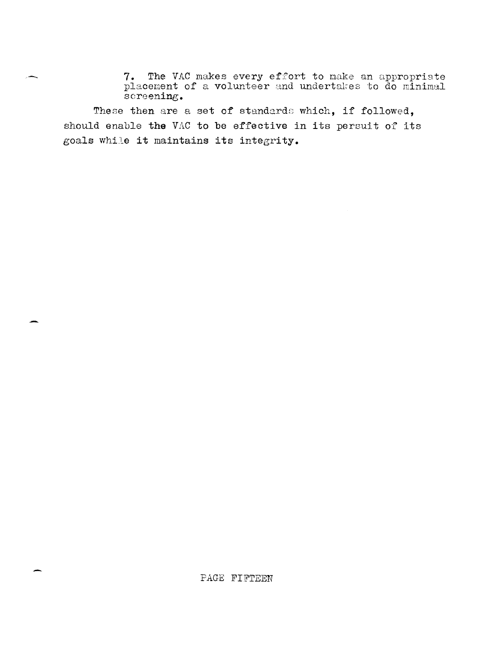T. The VAC makes every effort to make an appropriate<br>
placement of a volunteer and undertakes to do minimal screening.

These then are a set of standards which, if followed, should enable the VAC to be effective in its persuit of its goals while it maintains its integrity.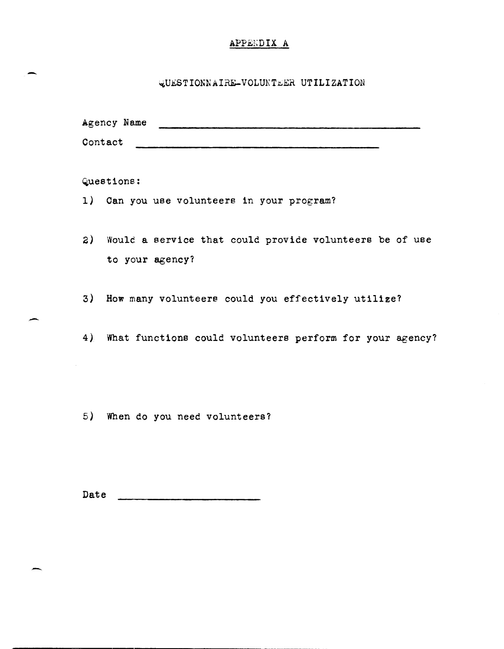# APPEXDIX A

# ~U~STIONNAIRE-VOLUKTLER UTILIZATION

Agency Name

Contact **with the contact** 

Questions:

-

-

- 1) Can you use volunteers in your program?
- 2) Would a service that could provide volunteers be of use to your agency?
- 3) How many volunteers could you effectively utilize?
- 4) What functions could volunteers perform for your agency?

5) When do you need volunteers?

Date <u>experience</u>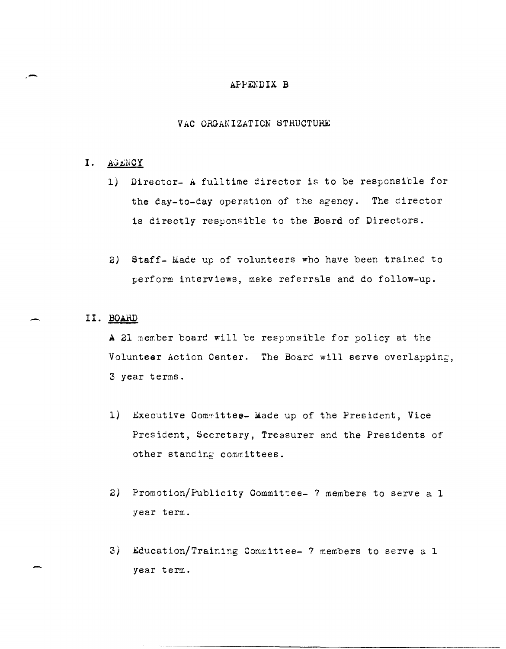## APPENDIX B

# VAC ORGANIZATION STRUCTURE

## I. AGENCY

- 1) Director- A fulltime director is to be responsible for the day-to-day operation of the agency. The director is directly responsible to the Board of Directors.
- 2) Staff- Made up of volunteers who have been trained to perform interviews, make referrals and do follow-up.

# II. BOARD

A 21 member board will be responsible for policy at the Volunteer Action Center. The Board will serve overlapping, 3 year terms.

- 1) Executive Committee- Made up of the President, Vice President, Secretary, Treasurer and the Presidents of other standing committees.
- 2) Promotion/Publicity Committee- 7 members to serve a 1 year term.
- 3) Education/Training Committee- 7 members to serve a 1 year term.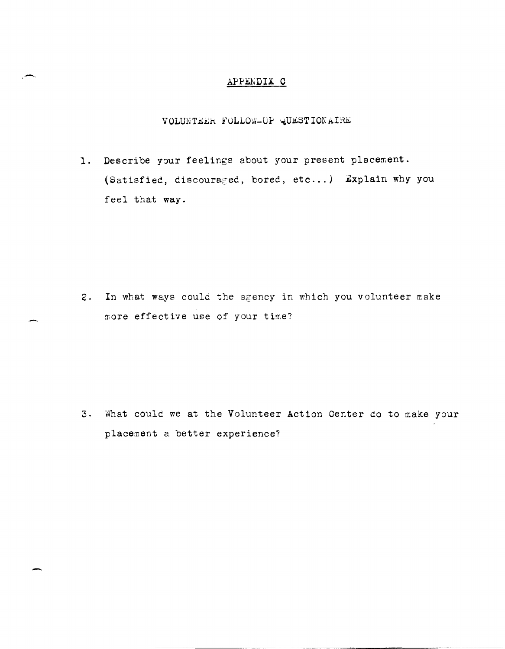# APPENDIX C

VOLUNTEER FOLLOW-UP QUESTIONAIRE

1. Describe your feelings about your present placement. (Satisfied, discouraged, bored, etc...) Explain why you feel that way.

2. In what ways could the sgency in which you volunteer make more effective use of your time?

3. What could we at the Volunteer Action Center do to make your placement a better experience?